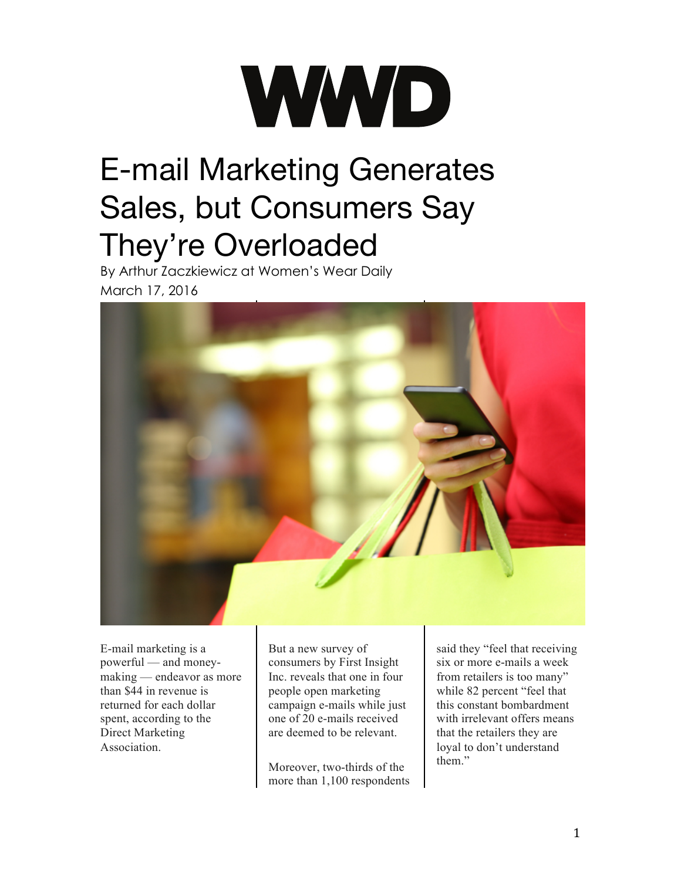## WWD

## E-mail Marketing Generates Sales, but Consumers Say They're Overloaded

By Arthur Zaczkiewicz at Women's Wear Daily March 17, 2016



E-mail marketing is a powerful — and moneymaking — endeavor as more than \$44 in revenue is returned for each dollar spent, according to the Direct Marketing Association.

But a new survey of consumers by First [Insight](http://wwd.com/business-news/forecasts-analysis/consumer-testing-red-trend-10374290/) [Inc.](http://wwd.com/business-news/forecasts-analysis/consumer-testing-red-trend-10374290/) reveals that one in four people open marketing campaign e-mails while just one of 20 e-mails [received](http://wwd.com/business-news/financial/consumer-spending-flat-10335744/) are [deemed](http://wwd.com/business-news/financial/consumer-spending-flat-10335744/) to be relevant.

Moreover, two-thirds of the more than 1,100 respondents

said they "feel that receiving six or more e-mails a week from retailers is too many" while 82 percent "feel that this constant bombardment with irrelevant offers means that the retailers they are loyal to don't understand them"